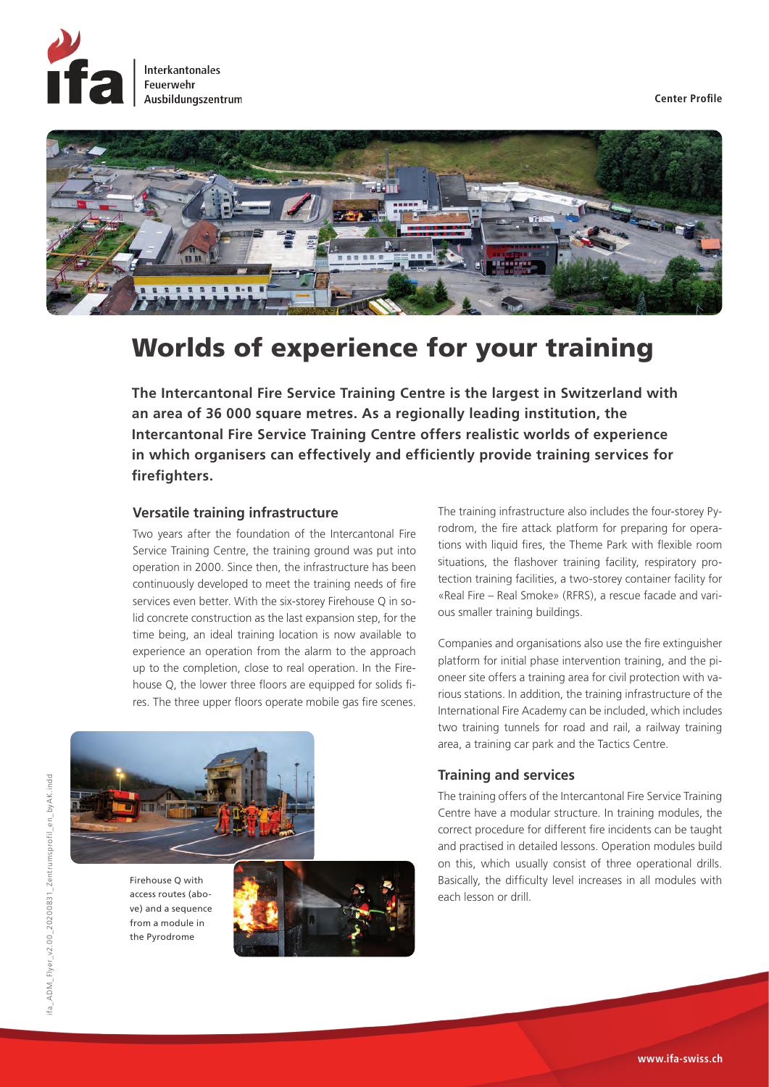





# Worlds of experience for your training

**The Intercantonal Fire Service Training Centre is the largest in Switzerland with an area of 36 000 square metres. As a regionally leading institution, the Intercantonal Fire Service Training Centre offers realistic worlds of experience in which organisers can effectively and efficiently provide training services for firefighters.** 

# **Versatile training infrastructure**

Two years after the foundation of the Intercantonal Fire Service Training Centre, the training ground was put into operation in 2000. Since then, the infrastructure has been continuously developed to meet the training needs of fire services even better. With the six-storey Firehouse Q in solid concrete construction as the last expansion step, for the time being, an ideal training location is now available to experience an operation from the alarm to the approach up to the completion, close to real operation. In the Firehouse Q, the lower three floors are equipped for solids fires. The three upper floors operate mobile gas fire scenes.



Firehouse Q with access routes (above) and a sequence from a module in the Pyrodrome



The training infrastructure also includes the four-storey Pyrodrom, the fire attack platform for preparing for operations with liquid fires, the Theme Park with flexible room situations, the flashover training facility, respiratory protection training facilities, a two-storey container facility for «Real Fire – Real Smoke» (RFRS), a rescue facade and various smaller training buildings.

Companies and organisations also use the fire extinguisher platform for initial phase intervention training, and the pioneer site offers a training area for civil protection with various stations. In addition, the training infrastructure of the International Fire Academy can be included, which includes two training tunnels for road and rail, a railway training area, a training car park and the Tactics Centre.

## **Training and services**

The training offers of the Intercantonal Fire Service Training Centre have a modular structure. In training modules, the correct procedure for different fire incidents can be taught and practised in detailed lessons. Operation modules build on this, which usually consist of three operational drills. Basically, the difficulty level increases in all modules with each lesson or drill.